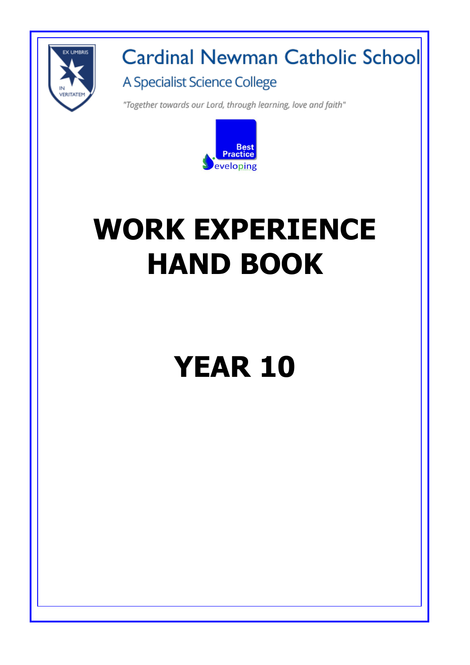

## **Cardinal Newman Catholic School**

### A Specialist Science College

"Together towards our Lord, through learning, love and faith"



# **WORK EXPERIENCE HAND BOOK**

# **YEAR 10**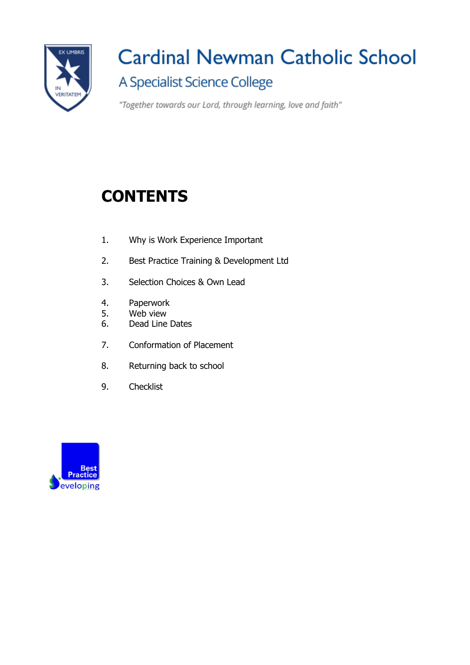

## **Cardinal Newman Catholic School** A Specialist Science College

"Together towards our Lord, through learning, love and faith"

### **CONTENTS**

- 1. Why is Work Experience Important
- 2. Best Practice Training & Development Ltd
- 3. Selection Choices & Own Lead
- 4. Paperwork
- 5. Web view
- 6. Dead Line Dates
- 7. Conformation of Placement
- 8. Returning back to school
- 9. Checklist

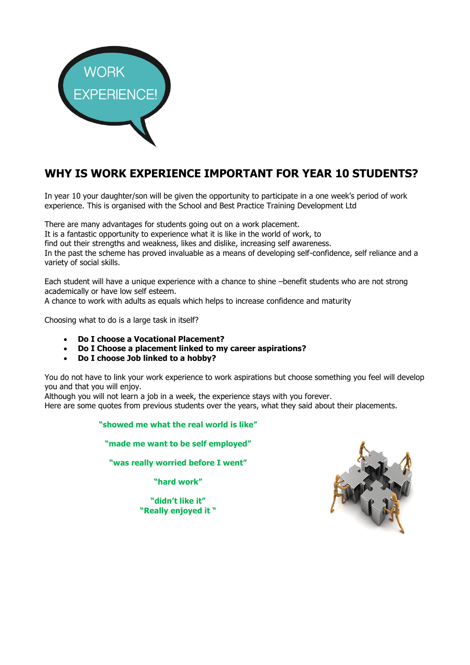

#### **WHY IS WORK EXPERIENCE IMPORTANT FOR YEAR 10 STUDENTS?**

In year 10 your daughter/son will be given the opportunity to participate in a one week's period of work experience. This is organised with the School and Best Practice Training Development Ltd

There are many advantages for students going out on a work placement.

It is a fantastic opportunity to experience what it is like in the world of work, to

find out their strengths and weakness, likes and dislike, increasing self awareness.

In the past the scheme has proved invaluable as a means of developing self-confidence, self reliance and a variety of social skills.

Each student will have a unique experience with a chance to shine –benefit students who are not strong academically or have low self esteem.

A chance to work with adults as equals which helps to increase confidence and maturity

Choosing what to do is a large task in itself?

- **Do I choose a Vocational Placement?**
- **Do I Choose a placement linked to my career aspirations?**
- **Do I choose Job linked to a hobby?**

You do not have to link your work experience to work aspirations but choose something you feel will develop you and that you will enjoy.

Although you will not learn a job in a week, the experience stays with you forever.

Here are some quotes from previous students over the years, what they said about their placements.

**"showed me what the real world is like"**

**"made me want to be self employed"**

**"was really worried before I went"**

**"hard work"**

**"didn't like it" "Really enjoyed it "**

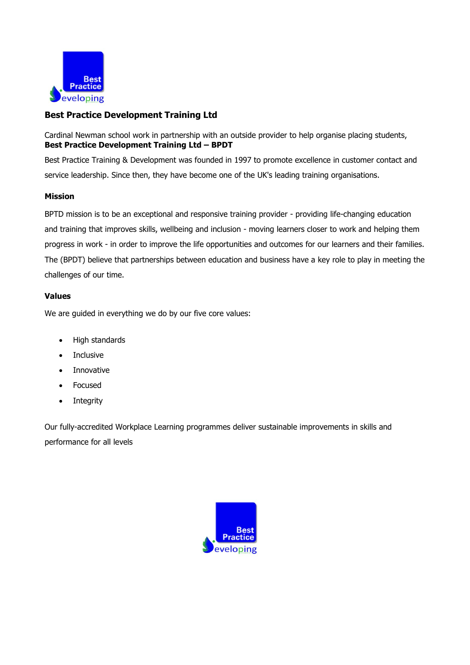

#### **Best Practice Development Training Ltd**

Cardinal Newman school work in partnership with an outside provider to help organise placing students, **Best Practice Development Training Ltd – BPDT**

[Best Practice](https://www.bestpracticeuk.com/) Training & Development was founded in 1997 to promote excellence in customer contact and service leadership. Since then, they have become one of the UK's leading training organisations.

#### **Mission**

BPTD mission is to be an exceptional and responsive training provider - providing life-changing education and training that improves skills, wellbeing and inclusion - moving learners closer to work and helping them progress in work - in order to improve the life opportunities and outcomes for our learners and their families. The (BPDT) believe that partnerships between education and business have a key role to play in meeting the challenges of our time.

#### **Values**

We are guided in everything we do by our five core values:

- High standards
- **Inclusive**
- Innovative
- Focused
- Integrity

Our fully-accredited Workplace Learning programmes deliver sustainable improvements in skills and performance for all levels

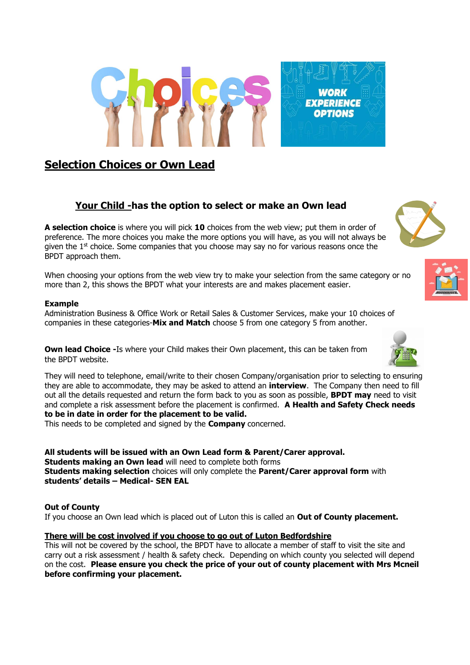

#### **Selection Choices or Own Lead**

#### **Your Child -has the option to select or make an Own lead**

**A selection choice** is where you will pick **10** choices from the web view; put them in order of preference. The more choices you make the more options you will have, as you will not always be given the  $1<sup>st</sup>$  choice. Some companies that you choose may say no for various reasons once the BPDT approach them.

When choosing your options from the web view try to make your selection from the same category or no more than 2, this shows the BPDT what your interests are and makes placement easier.

#### **Example**

Administration Business & Office Work or Retail Sales & Customer Services, make your 10 choices of companies in these categories-**Mix and Match** choose 5 from one category 5 from another.

**Own lead Choice -**Is where your Child makes their Own placement, this can be taken from the BPDT website.

They will need to telephone, email/write to their chosen Company/organisation prior to selecting to ensuring they are able to accommodate, they may be asked to attend an **interview**. The Company then need to fill out all the details requested and return the form back to you as soon as possible, **BPDT may** need to visit and complete a risk assessment before the placement is confirmed. **A Health and Safety Check needs to be in date in order for the placement to be valid.** 

This needs to be completed and signed by the **Company** concerned.

**All students will be issued with an Own Lead form & Parent/Carer approval. Students making an Own lead** will need to complete both forms **Students making selection** choices will only complete the **Parent/Carer approval form** with **students' details – Medical- SEN EAL** 

#### **Out of County**

If you choose an Own lead which is placed out of Luton this is called an **Out of County placement.**

#### **There will be cost involved if you choose to go out of Luton Bedfordshire**

This will not be covered by the school, the BPDT have to allocate a member of staff to visit the site and carry out a risk assessment / health & safety check. Depending on which county you selected will depend on the cost. **Please ensure you check the price of your out of county placement with Mrs Mcneil before confirming your placement.**



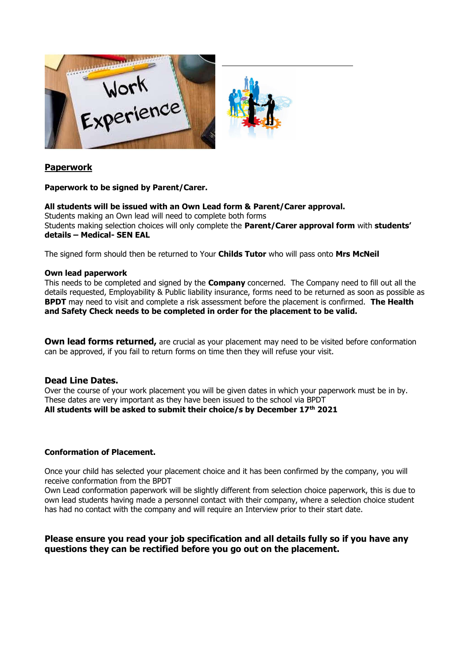

#### **Paperwork**

**Paperwork to be signed by Parent/Carer.**

#### **All students will be issued with an Own Lead form & Parent/Carer approval.**

Students making an Own lead will need to complete both forms Students making selection choices will only complete the **Parent/Carer approval form** with **students' details – Medical- SEN EAL** 

The signed form should then be returned to Your **Childs Tutor** who will pass onto **Mrs McNeil**

#### **Own lead paperwork**

This needs to be completed and signed by the **Company** concerned. The Company need to fill out all the details requested, Employability & Public liability insurance, forms need to be returned as soon as possible as **BPDT** may need to visit and complete a risk assessment before the placement is confirmed. **The Health and Safety Check needs to be completed in order for the placement to be valid.** 

**Own lead forms returned,** are crucial as your placement may need to be visited before conformation can be approved, if you fail to return forms on time then they will refuse your visit.

#### **Dead Line Dates.**

Over the course of your work placement you will be given dates in which your paperwork must be in by. These dates are very important as they have been issued to the school via BPDT **All students will be asked to submit their choice/s by December 17th 2021** 

#### **Conformation of Placement.**

Once your child has selected your placement choice and it has been confirmed by the company, you will receive conformation from the BPDT

Own Lead conformation paperwork will be slightly different from selection choice paperwork, this is due to own lead students having made a personnel contact with their company, where a selection choice student has had no contact with the company and will require an Interview prior to their start date.

#### **Please ensure you read your job specification and all details fully so if you have any questions they can be rectified before you go out on the placement.**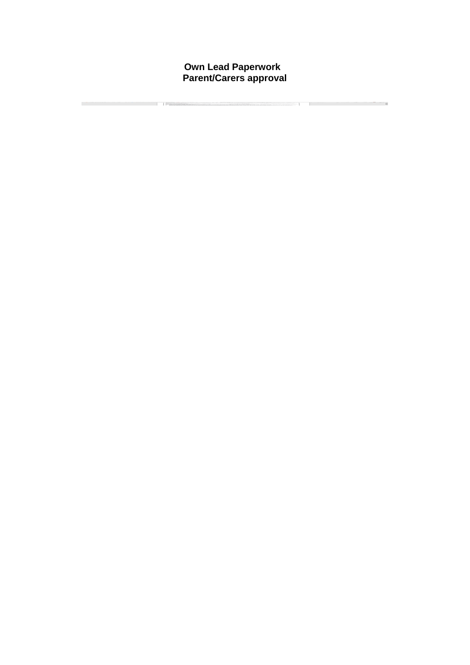**Own Lead Paperwork Parent/Carers approval**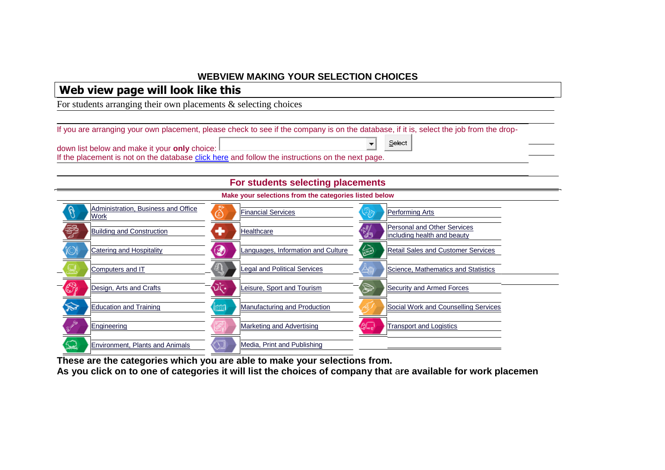#### **WEBVIEW MAKING YOUR SELECTION CHOICES**

| Web view page will look like this                                                                                                                 |           |                                                       |                                                                                                                                         |
|---------------------------------------------------------------------------------------------------------------------------------------------------|-----------|-------------------------------------------------------|-----------------------------------------------------------------------------------------------------------------------------------------|
| For students arranging their own placements $\&$ selecting choices                                                                                |           |                                                       |                                                                                                                                         |
|                                                                                                                                                   |           |                                                       | If you are arranging your own placement, please check to see if the company is on the database, if it is, select the job from the drop- |
|                                                                                                                                                   |           |                                                       | Select                                                                                                                                  |
| down list below and make it your only choice:<br>If the placement is not on the database click here and follow the instructions on the next page. |           |                                                       |                                                                                                                                         |
|                                                                                                                                                   |           |                                                       |                                                                                                                                         |
|                                                                                                                                                   |           | For students selecting placements                     |                                                                                                                                         |
|                                                                                                                                                   |           | Make your selections from the categories listed below |                                                                                                                                         |
| Administration, Business and Office<br><b>Work</b>                                                                                                |           | <b>Financial Services</b>                             | <b>Performing Arts</b>                                                                                                                  |
| <b>Building and Construction</b>                                                                                                                  |           | <b>Healthcare</b>                                     | <b>Personal and Other Services</b><br>including health and beauty                                                                       |
| Catering and Hospitality                                                                                                                          | Ð         | Languages, Information and Culture                    | 6<br><b>Retail Sales and Customer Services</b>                                                                                          |
| Computers and IT                                                                                                                                  |           | <b>Legal and Political Services</b>                   | Science, Mathematics and Statistics                                                                                                     |
| Design, Arts and Crafts                                                                                                                           | $\nu \in$ | Leisure, Sport and Tourism                            | <b>Security and Armed Forces</b>                                                                                                        |
| <b>Education and Training</b>                                                                                                                     |           | Manufacturing and Production                          | <b>Social Work and Counselling Services</b>                                                                                             |
| Engineering                                                                                                                                       |           | <b>Marketing and Advertising</b>                      | <b>Fransport and Logistics</b>                                                                                                          |
| Environment, Plants and Animals                                                                                                                   |           | Media, Print and Publishing                           |                                                                                                                                         |

**These are the categories which you are able to make your selections from.**

**As you click on to one of categories it will list the choices of company that** a**re available for work placemen**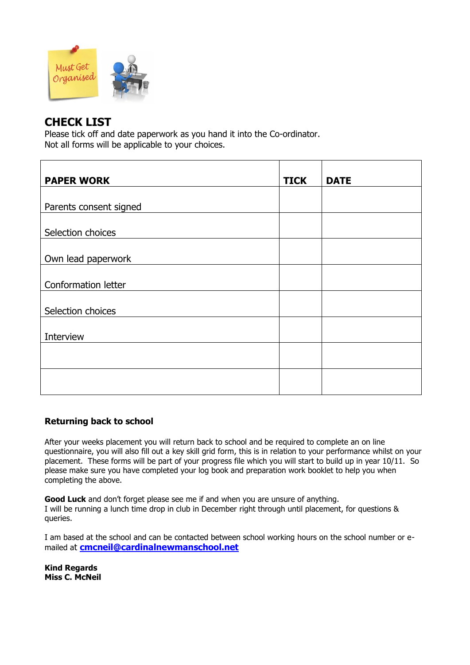

#### **CHECK LIST**

Please tick off and date paperwork as you hand it into the Co-ordinator. Not all forms will be applicable to your choices.

| <b>PAPER WORK</b>          | <b>TICK</b> | <b>DATE</b> |
|----------------------------|-------------|-------------|
|                            |             |             |
| Parents consent signed     |             |             |
| Selection choices          |             |             |
| Own lead paperwork         |             |             |
| <b>Conformation letter</b> |             |             |
| Selection choices          |             |             |
| Interview                  |             |             |
|                            |             |             |
|                            |             |             |

#### **Returning back to school**

After your weeks placement you will return back to school and be required to complete an on line questionnaire, you will also fill out a key skill grid form, this is in relation to your performance whilst on your placement. These forms will be part of your progress file which you will start to build up in year 10/11. So please make sure you have completed your log book and preparation work booklet to help you when completing the above.

**Good Luck** and don't forget please see me if and when you are unsure of anything. I will be running a lunch time drop in club in December right through until placement, for questions & queries.

I am based at the school and can be contacted between school working hours on the school number or emailed at **[cmcneil@cardinalnewmanschool.net](mailto:cmcneil@cardinalnewmanschool.net)**

**Kind Regards Miss C. McNeil**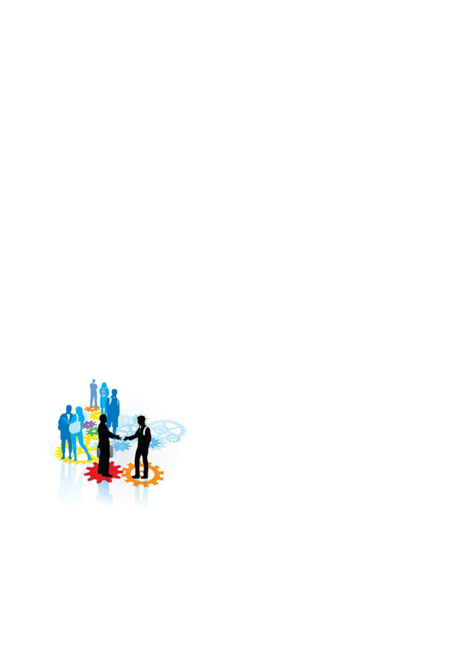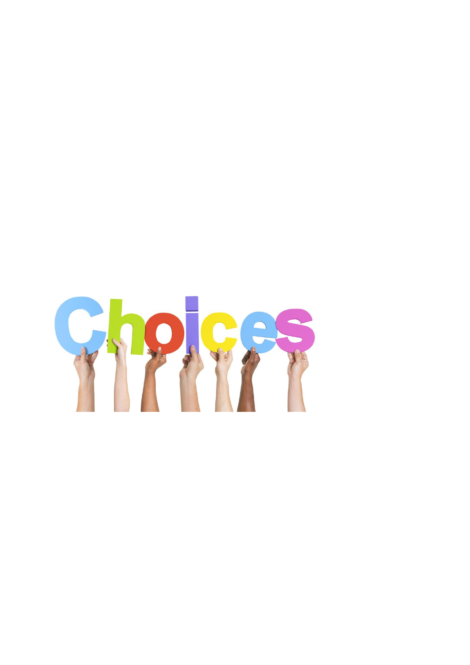